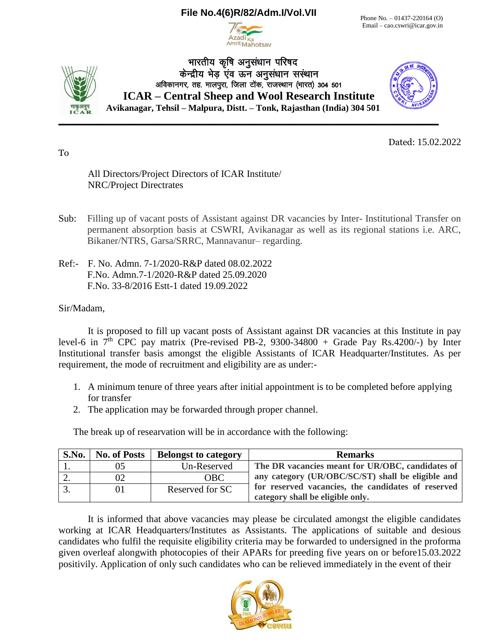# **File No.4(6)R/82/Adm.I/Vol.VII**



Phone No. – 01437-220164 (O) Email – cao.cswri@icar.gov.in



भारतीय कृषि अनुसंधान परिषद केन्द्रीय भेड एव ऊन अनसंधान सस्थान अविकानगर, तह. मालपुरा, जिला टोंक, राजस्थान (भारत) 304 501 **ICAR – Central Sheep and Wool Research Institute Avikanagar, Tehsil – Malpura, Distt. – Tonk, Rajasthan (India) 304 501**



Dated: 15.02.2022

To

All Directors/Project Directors of ICAR Institute/ NRC/Project Directrates

- Sub: Filling up of vacant posts of Assistant against DR vacancies by Inter- Institutional Transfer on permanent absorption basis at CSWRI, Avikanagar as well as its regional stations i.e. ARC, Bikaner/NTRS, Garsa/SRRC, Mannavanur– regarding.
- Ref:- F. No. Admn. 7-1/2020-R&P dated 08.02.2022 F.No. Admn.7-1/2020-R&P dated 25.09.2020 F.No. 33-8/2016 Estt-1 dated 19.09.2022

Sir/Madam,

It is proposed to fill up vacant posts of Assistant against DR vacancies at this Institute in pay level-6 in  $7<sup>th</sup>$  CPC pay matrix (Pre-revised PB-2, 9300-34800 + Grade Pay Rs.4200/-) by Inter Institutional transfer basis amongst the eligible Assistants of ICAR Headquarter/Institutes. As per requirement, the mode of recruitment and eligibility are as under:-

- 1. A minimum tenure of three years after initial appointment is to be completed before applying for transfer
- 2. The application may be forwarded through proper channel.

The break up of researvation will be in accordance with the following:

| S.No. | <b>No. of Posts</b> | <b>Belongst to category</b> | <b>Remarks</b>                                                                         |
|-------|---------------------|-----------------------------|----------------------------------------------------------------------------------------|
|       |                     | Un-Reserved                 | The DR vacancies meant for UR/OBC, candidates of                                       |
|       |                     | OBC-                        | any category (UR/OBC/SC/ST) shall be eligible and                                      |
|       | 01                  | Reserved for SC             | for reserved vacancies, the candidates of reserved<br>category shall be eligible only. |

It is informed that above vacancies may please be circulated amongst the eligible candidates working at ICAR Headquarters/Institutes as Assistants. The applications of suitable and desious candidates who fulfil the requisite eligibility criteria may be forwarded to undersigned in the proforma given overleaf alongwith photocopies of their APARs for preeding five years on or before15.03.2022 positivily. Application of only such candidates who can be relieved immediately in the event of their

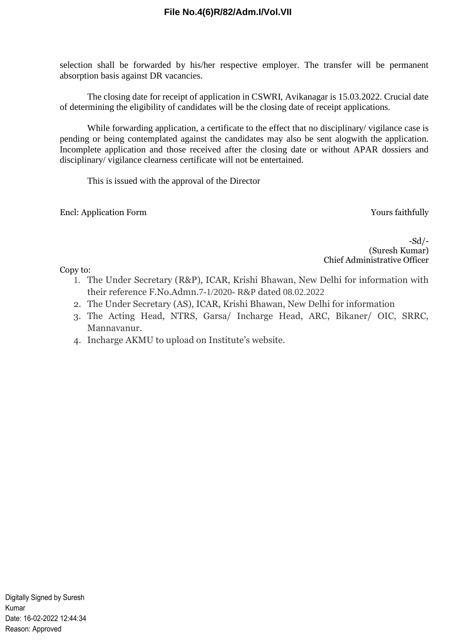# **File No.4(6)R/82/Adm.I/Vol.VII**

selection shall be forwarded by his/her respective employer. The transfer will be permanent absorption basis against DR vacancies.

The closing date for receipt of application in CSWRI, Avikanagar is 15.03.2022. Crucial date of determining the eligibility of candidates will be the closing date of receipt applications.

While forwarding application, a certificate to the effect that no disciplinary/ vigilance case is pending or being contemplated against the candidates may also be sent alogwith the application. Incomplete application and those received after the closing date or without APAR dossiers and disciplinary/ vigilance clearness certificate will not be entertained.

This is issued with the approval of the Director

Encl: Application Form Yours faithfully

-Sd/- (Suresh Kumar) Chief Administrative Officer

Copy to:

- 1. The Under Secretary (R&P), ICAR, Krishi Bhawan, New Delhi for information with their reference F.No.Admn.7-1/2020- R&P dated 08.02.2022
- 2. The Under Secretary (AS), ICAR, Krishi Bhawan, New Delhi for information
- 3. The Acting Head, NTRS, Garsa/ Incharge Head, ARC, Bikaner/ OIC, SRRC, Mannavanur.
- 4. Incharge AKMU to upload on Institute's website.